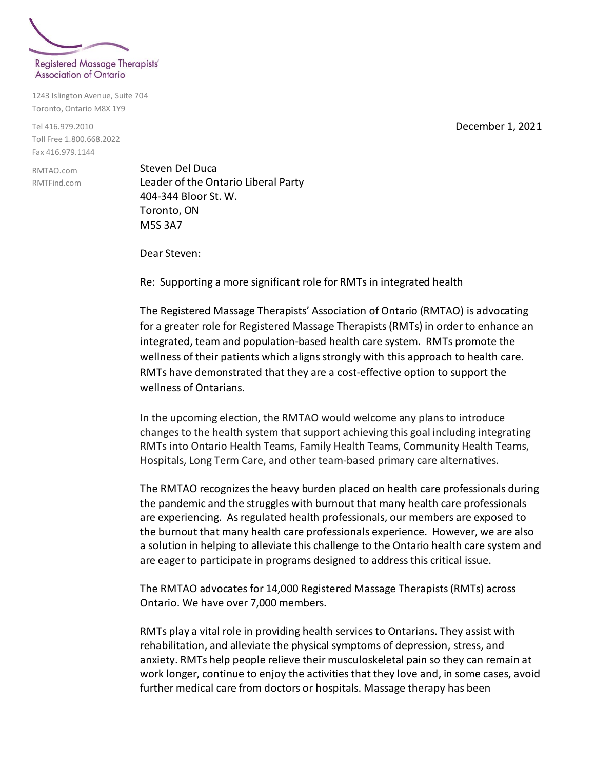

1243 Islington Avenue, Suite 704 Toronto, Ontario M8X 1Y9

Tel 416.979.2010 Toll Free 1.800.668.2022 Fax 416.979.1144

RMTAO.com RMTFind.com Steven Del Duca Leader of the Ontario Liberal Party 404-344 Bloor St. W. Toronto, ON M5S 3A7

Dear Steven:

Re: Supporting a more significant role for RMTs in integrated health

The Registered Massage Therapists' Association of Ontario (RMTAO) is advocating for a greater role for Registered Massage Therapists (RMTs) in order to enhance an integrated, team and population-based health care system.RMTs promote the wellness of their patients which aligns strongly with this approach to health care. RMTs have demonstrated that they are a cost-effective option to support the wellness of Ontarians.

In the upcoming election, the RMTAO would welcome any plans to introduce changes to the health system that support achieving this goal including integrating RMTs into Ontario Health Teams, Family Health Teams, Community Health Teams, Hospitals, Long Term Care, and other team-based primary care alternatives.

The RMTAO recognizes the heavy burden placed on health care professionals during the pandemic and the struggles with burnout that many health care professionals are experiencing. As regulated health professionals, our members are exposed to the burnout that many health care professionals experience. However, we are also a solution in helping to alleviate this challenge to the Ontario health care system and are eager to participate in programs designed to address this critical issue.

The RMTAO advocates for 14,000 Registered Massage Therapists (RMTs) across Ontario. We have over 7,000 members.

RMTs play a vital role in providing health services to Ontarians. They assist with rehabilitation, and alleviate the physical symptoms of depression, stress, and anxiety. RMTs help people relieve their musculoskeletal pain so they can remain at work longer, continue to enjoy the activities that they love and, in some cases, avoid further medical care from doctors or hospitals. Massage therapy has been

December 1, 2021